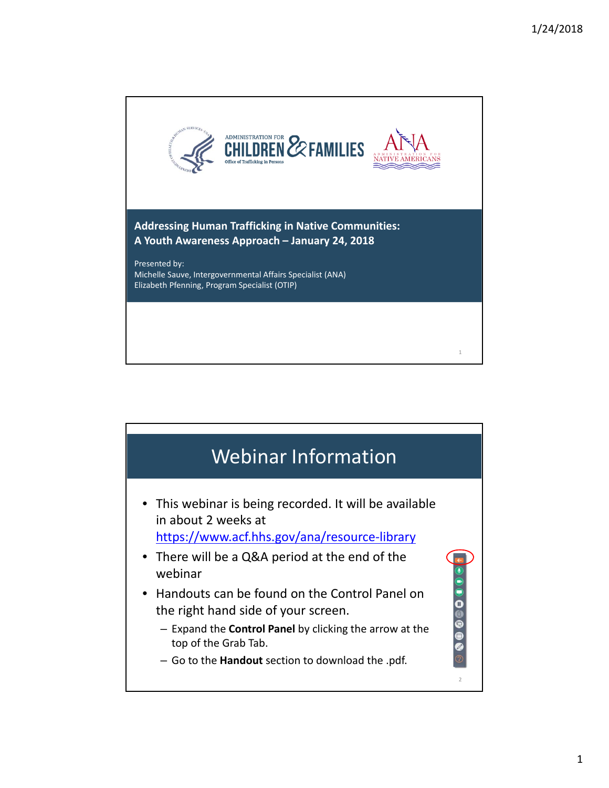

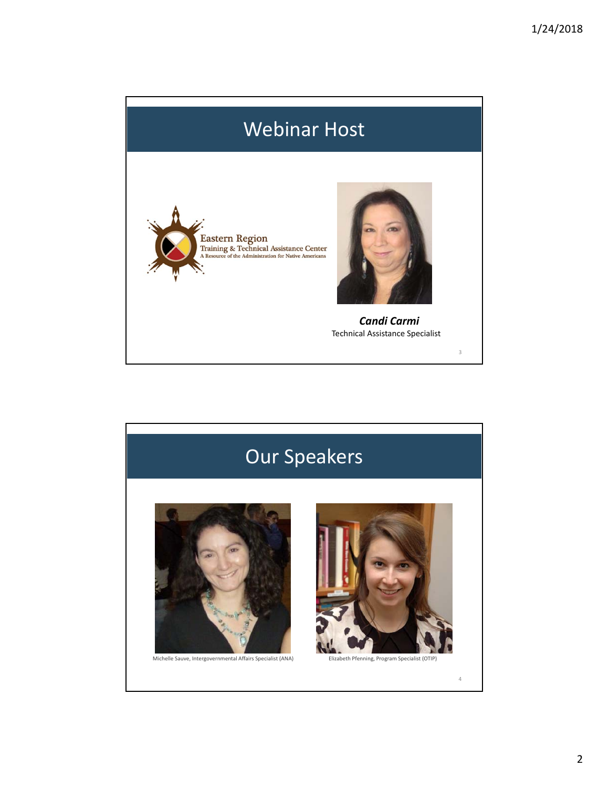# Webinar Host



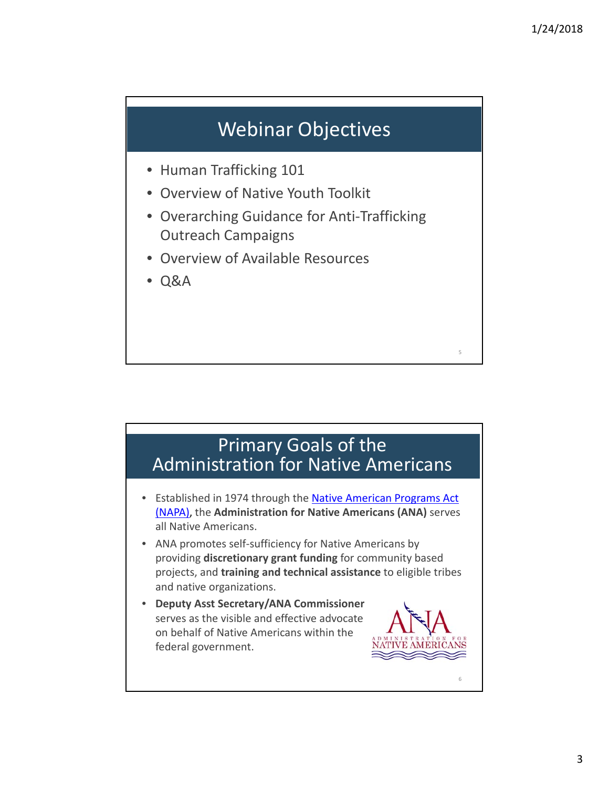### Webinar Objectives

- Human Trafficking 101
- Overview of Native Youth Toolkit
- Overarching Guidance for Anti-Trafficking Outreach Campaigns
- Overview of Available Resources
- Q&A

#### Primary Goals of the Administration for Native Americans

- Established in 1974 through the Native American Programs Act (NAPA), the **Administration for Native Americans (ANA)** serves all Native Americans.
- ANA promotes self-sufficiency for Native Americans by providing **discretionary grant funding** for community based projects, and **training and technical assistance** to eligible tribes and native organizations.
- **Deputy Asst Secretary/ANA Commissioner** serves as the visible and effective advocate on behalf of Native Americans within the federal government.

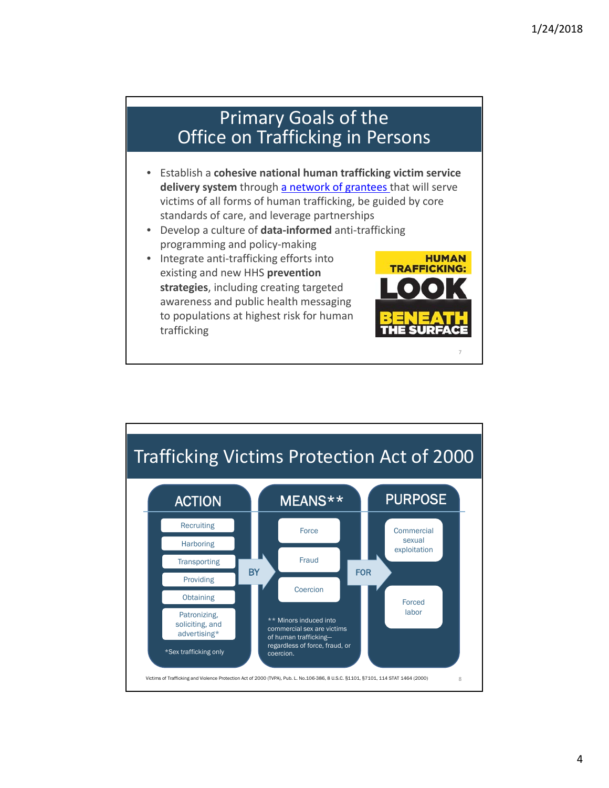**HUMAN** 

**TRAFFICKING:** 

#### Primary Goals of the Office on Trafficking in Persons

- Establish a **cohesive national human trafficking victim service delivery system** through a network of grantees that will serve victims of all forms of human trafficking, be guided by core standards of care, and leverage partnerships
- Develop a culture of **data‐informed** anti‐trafficking programming and policy‐making
- Integrate anti-trafficking efforts into existing and new HHS **prevention strategies**, including creating targeted awareness and public health messaging to populations at highest risk for human trafficking

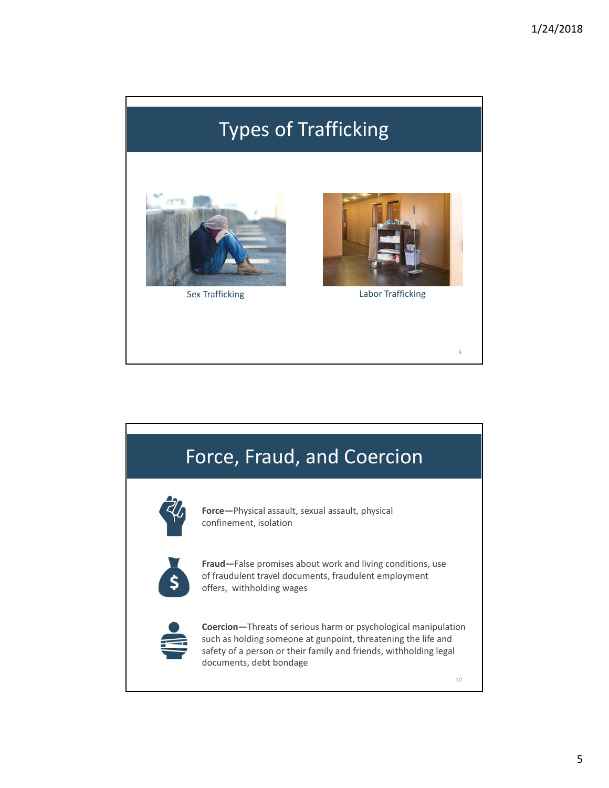# Types of Trafficking





Sex Trafficking Labor Trafficking

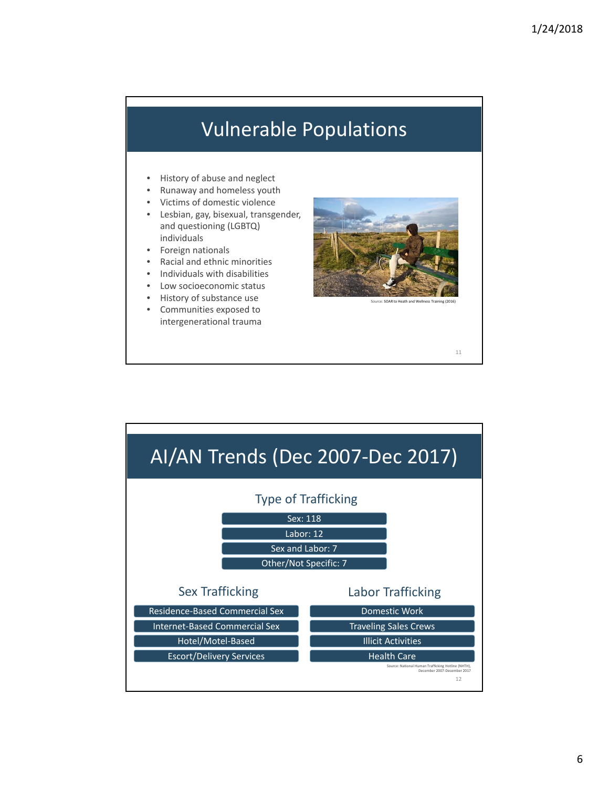#### Vulnerable Populations

- History of abuse and neglect
- Runaway and homeless youth
- Victims of domestic violence
- Lesbian, gay, bisexual, transgender, and questioning (LGBTQ) individuals
- Foreign nationals
- Racial and ethnic minorities
- Individuals with disabilities
- Low socioeconomic status
- History of substance use
- Communities exposed to intergenerational trauma



e: SOAR to Heath and V

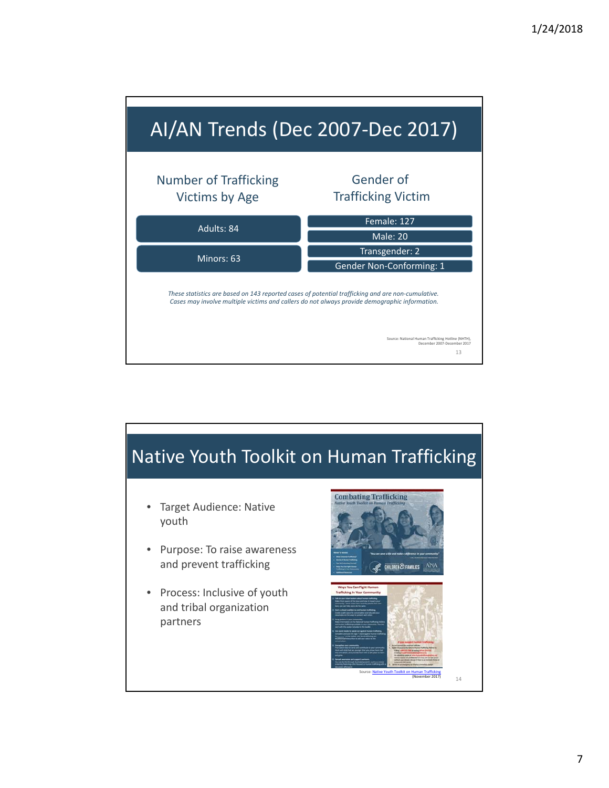

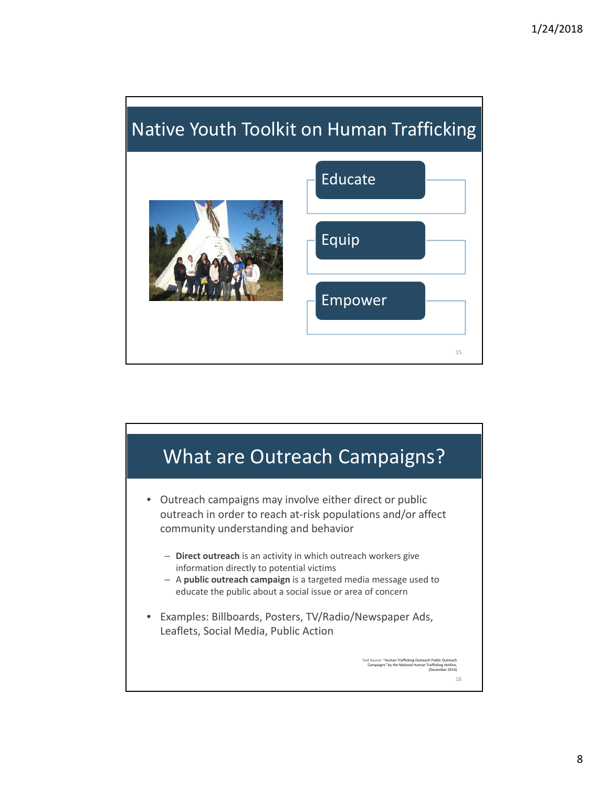# Native Youth Toolkit on Human Trafficking



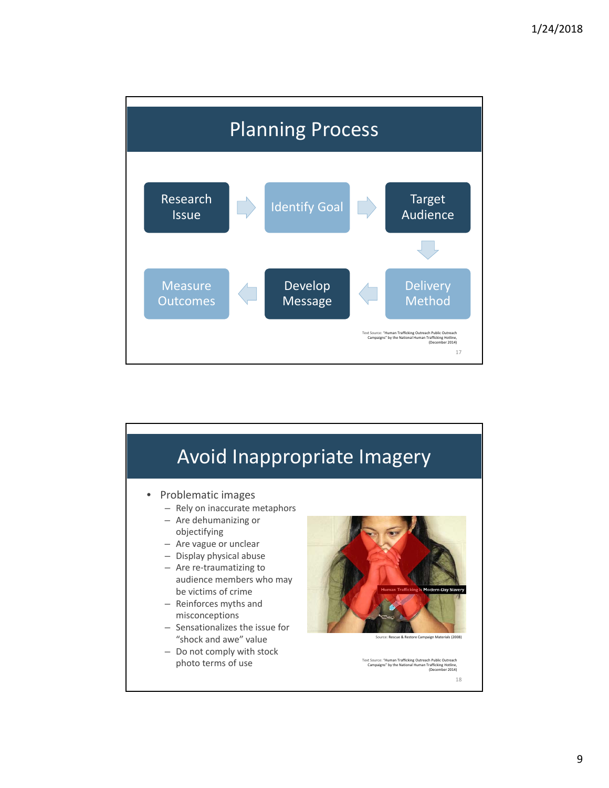

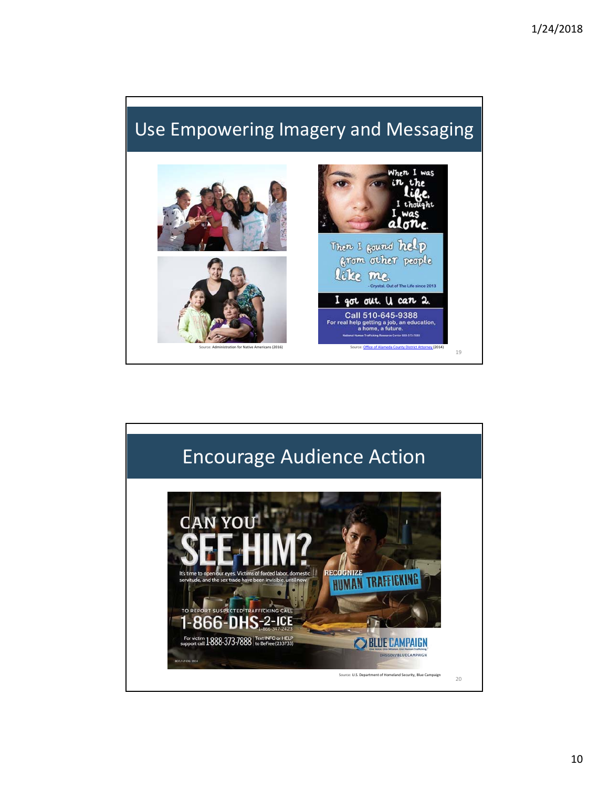### Use Empowering Imagery and Messaging



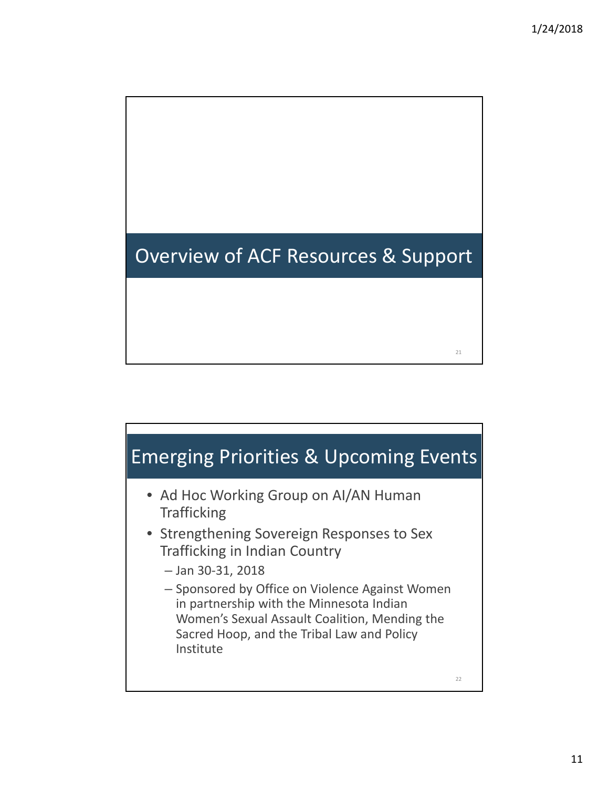# Overview of ACF Resources & Support

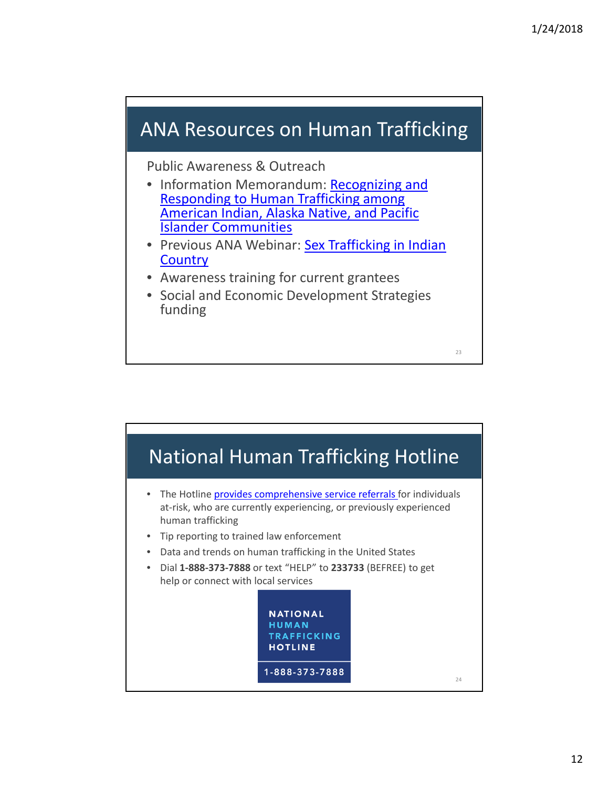#### ANA Resources on Human Trafficking

Public Awareness & Outreach

- Information Memorandum: Recognizing and Responding to Human Trafficking among American Indian, Alaska Native, and Pacific Islander Communities
- Previous ANA Webinar: Sex Trafficking in Indian **Country**
- Awareness training for current grantees
- Social and Economic Development Strategies funding

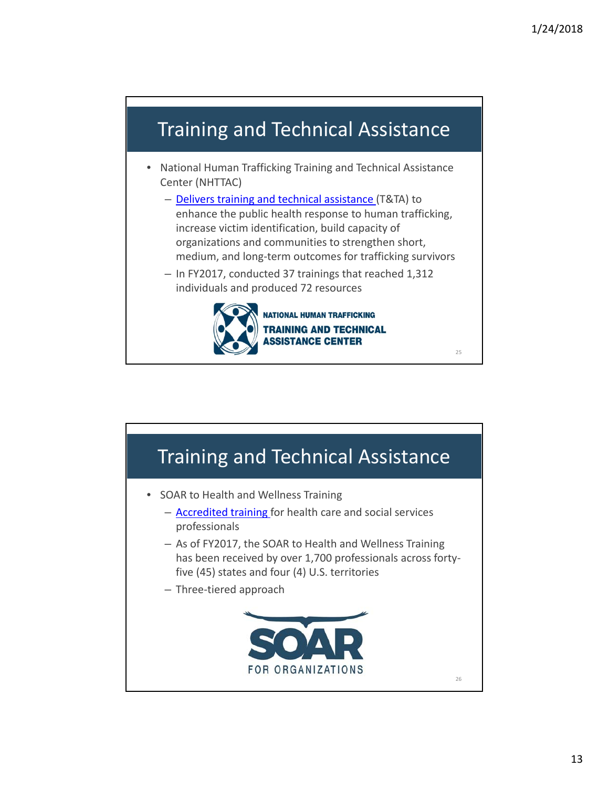#### Training and Technical Assistance

- National Human Trafficking Training and Technical Assistance Center (NHTTAC)
	- Delivers training and technical assistance (T&TA) to enhance the public health response to human trafficking, increase victim identification, build capacity of organizations and communities to strengthen short, medium, and long‐term outcomes for trafficking survivors
	- In FY2017, conducted 37 trainings that reached 1,312 individuals and produced 72 resources



**NATIONAL HUMAN TRAFFICKING TRAINING AND TECHNICAL SSISTANCE CENTER** 

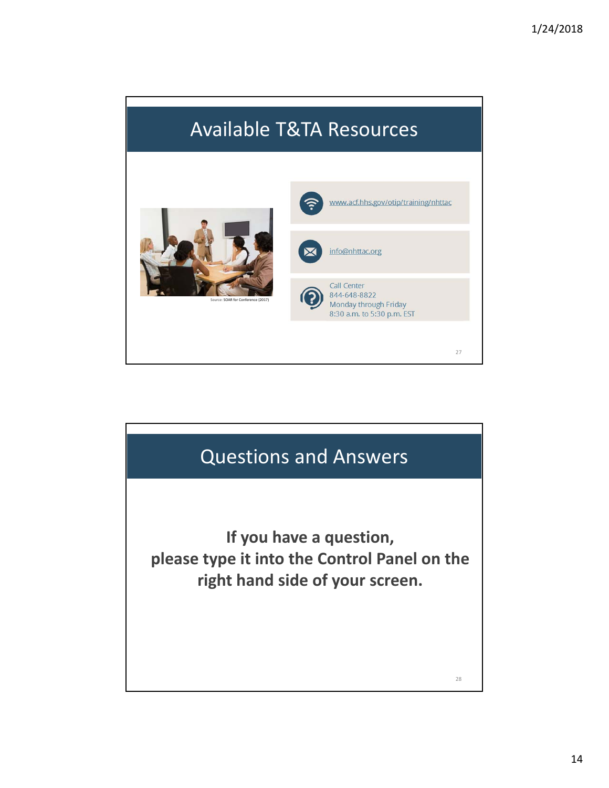# Available T&TA Resources